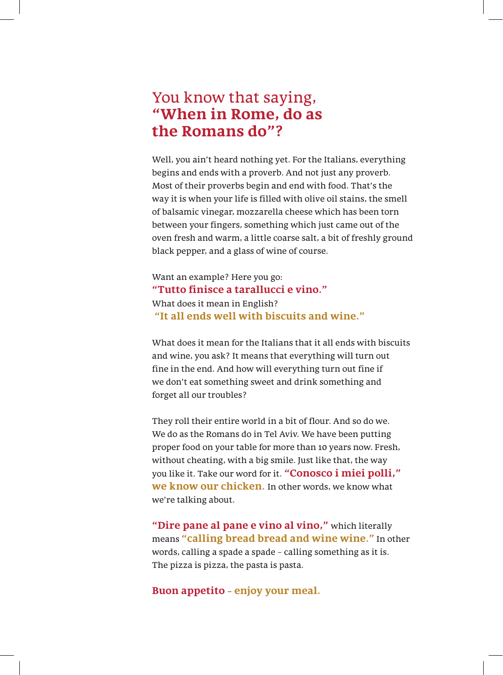## You know that saying, "When in Rome, do as the Romans do"?

Well, you ain't heard nothing yet. For the Italians, everything begins and ends with a proverb. And not just any proverb. Most of their proverbs begin and end with food. That's the way it is when your life is filled with olive oil stains, the smell of balsamic vinegar, mozzarella cheese which has been torn between your fingers, something which just came out of the oven fresh and warm, a little coarse salt, a bit of freshly ground black pepper, and a glass of wine of course.

Want an example? Here you go: "Tutto finisce a tarallucci e vino." What does it mean in English? "It all ends well with biscuits and wine."

What does it mean for the Italians that it all ends with biscuits and wine, you ask? It means that everything will turn out fine in the end. And how will everything turn out fine if we don't eat something sweet and drink something and forget all our troubles?

They roll their entire world in a bit of flour. And so do we. We do as the Romans do in Tel Aviv. We have been putting proper food on your table for more than 10 years now. Fresh, without cheating, with a big smile. Just like that, the way you like it. Take our word for it. "Conosco i miei polli," **we know our chicken**. In other words, we know what we're talking about.

"Dire pane al pane e vino al vino," which literally means "calling bread bread and wine wine." In other words, calling a spade a spade – calling something as it is. The pizza is pizza, the pasta is pasta.

**Buon appetito – enjoy your meal.**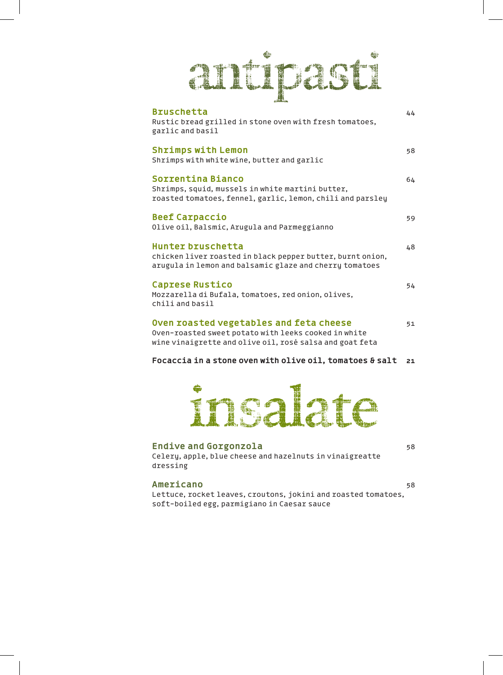## antipasti

| <b>Bruschetta</b><br>Rustic bread grilled in stone oven with fresh tomatoes,<br>garlic and basil                                                            | 44 |
|-------------------------------------------------------------------------------------------------------------------------------------------------------------|----|
| <b>Shrimps with Lemon</b><br>Shrimps with white wine, butter and garlic                                                                                     | 58 |
| Sorrentina Bianco<br>Shrimps, squid, mussels in white martini butter,<br>roasted tomatoes, fennel, garlic, lemon, chili and parsley                         | 64 |
| <b>Beef Carpaccio</b><br>Olive oil, Balsmic, Arugula and Parmeggianno                                                                                       | 59 |
| Hunter bruschetta<br>chicken liver roasted in black pepper butter, burnt onion,<br>arugula in lemon and balsamic glaze and cherry tomatoes                  | 48 |
| <b>Caprese Rustico</b><br>Mozzarella di Bufala, tomatoes, red onion, olives,<br>chili and basil                                                             | 54 |
| Oven roasted vegetables and feta cheese<br>Oven-roasted sweet potato with leeks cooked in white<br>wine vinaigrette and olive oil, rosé salsa and goat feta | 51 |
|                                                                                                                                                             |    |

## **Focaccia in a stone oven with olive oil, tomatoes & salt** 21



## Endive and Gorgonzola by the set of the set of the set of the set of the set of the set of the set of the set of the set of the set of the set of the set of the set of the set of the set of the set of the set of the set of

Celery, apple, blue cheese and hazelnuts in vinaigreatte dressing

### 58 **Americano**

Lettuce, rocket leaves, croutons, jokini and roasted tomatoes, soft-boiled egg, parmigiano in Caesar sauce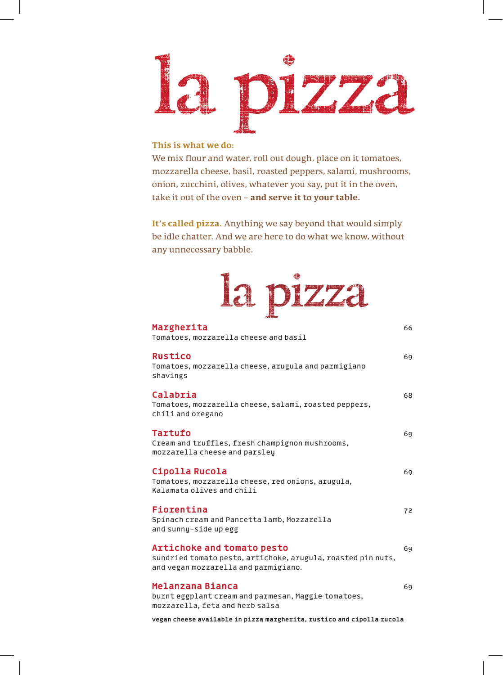

## **This is what we do:**

We mix flour and water, roll out dough, place on it tomatoes, mozzarella cheese, basil, roasted peppers, salami, mushrooms, onion, zucchini, olives, whatever you say, put it in the oven, take it out of the oven - and serve it to your table.

It's called pizza. Anything we say beyond that would simply be idle chatter. And we are here to do what we know, without any unnecessary babble.

| DIZZa                                                                                                                                     |    |
|-------------------------------------------------------------------------------------------------------------------------------------------|----|
| Margherita<br>Tomatoes, mozzarella cheese and basil                                                                                       | 66 |
| <b>Rustico</b><br>Tomatoes, mozzarella cheese, arugula and parmigiano<br>shavings                                                         | 69 |
| Calabria<br>Tomatoes, mozzarella cheese, salami, roasted peppers,<br>chili and oregano                                                    | 68 |
| Tartufo<br>Cream and truffles, fresh champignon mushrooms,<br>mozzarella cheese and parsley                                               | 69 |
| Cipolla Rucola<br>Tomatoes, mozzarella cheese, red onions, arugula,<br>Kalamata olives and chili                                          | 69 |
| Fiorentina<br>Spinach cream and Pancetta lamb, Mozzarella<br>and sunny-side up egg                                                        | 72 |
| <b>Artichoke and tomato pesto</b><br>sundried tomato pesto, artichoke, arugula, roasted pin nuts,<br>and vegan mozzarella and parmigiano. | 69 |
| Melanzana Bianca<br>burnt eggplant cream and parmesan, Maggie tomatoes,<br>mozzarella, feta and herb salsa                                | 69 |
| vegan cheese available in pizza margherita, rustico and cipolla rucola                                                                    |    |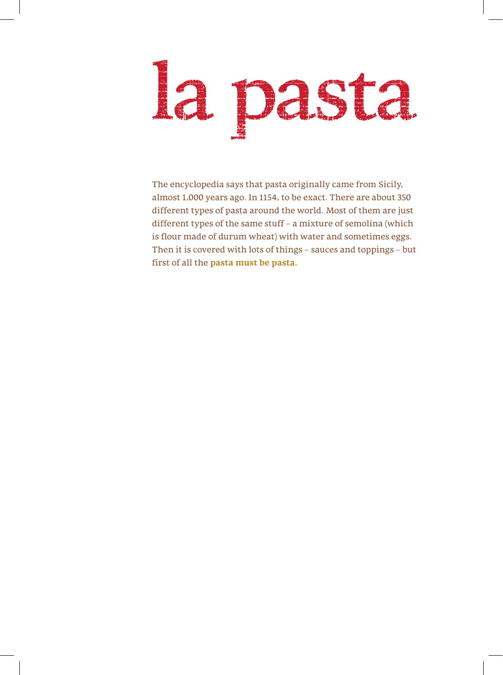# la pasta

The encyclopedia says that pasta originally came from Sicily, almost 1,000 years ago. In 1154, to be exact. There are about 350 different types of pasta around the world. Most of them are just different types of the same stuff - a mixture of semolina (which is flour made of durum wheat) with water and sometimes eggs. Then it is covered with lots of things - sauces and toppings - but first of all the **pasta must be pasta**.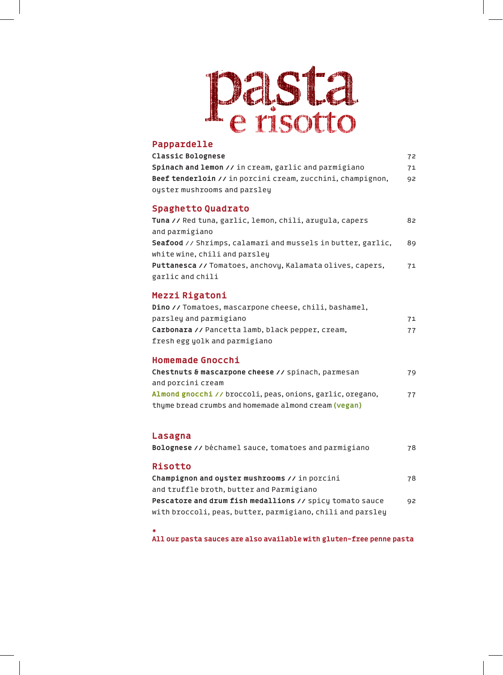## Dasta

## **Pappardelle**

| $1.49$ put ut the second second second second second second second second second second second second second second second second second second second second second second second second second second second second second<br><b>Classic Bolognese</b><br>Spinach and lemon // in cream, garlic and parmigiano<br>Beef tenderloin // in porcini cream, zucchini, champignon,<br>oyster mushrooms and parsley | 72<br>71<br>92 |
|----------------------------------------------------------------------------------------------------------------------------------------------------------------------------------------------------------------------------------------------------------------------------------------------------------------------------------------------------------------------------------------------------------------|----------------|
| <b>Spaghetto Quadrato</b><br>Tuna // Red tuna, garlic, lemon, chili, arugula, capers<br>and parmigiano<br>Seafood // Shrimps, calamari and mussels in butter, garlic,<br>white wine, chili and parsley<br>Puttanesca // Tomatoes, anchovy, Kalamata olives, capers,<br>garlic and chili                                                                                                                        | 82<br>89<br>71 |
| Mezzi Rigatoni<br>Dino // Tomatoes, mascarpone cheese, chili, bashamel,<br>parsley and parmigiano<br>Carbonara // Pancetta lamb, black pepper, cream,<br>fresh egg yolk and parmigiano                                                                                                                                                                                                                         | 71<br>77       |
| <b>Homemade Gnocchi</b><br>Chestnuts & mascarpone cheese // spinach, parmesan<br>and porcini cream<br>Almond gnocchi // broccoli, peas, onions, garlic, oregano,<br>thyme bread crumbs and homemade almond cream (vegan)                                                                                                                                                                                       | 79<br>77       |
| Lasagna<br>Bolognese // béchamel sauce, tomatoes and parmigiano                                                                                                                                                                                                                                                                                                                                                | 78             |
| <b>Risotto</b><br>Champignon and oyster mushrooms // in porcini<br>and truffle broth, butter and Parmigiano<br>Pescatore and drum fish medallions // spicy tomato sauce<br>with broccoli, peas, butter, parmigiano, chili and parsley                                                                                                                                                                          | 78<br>92       |

**\***

All our pasta sauces are also available with gluten-free penne pasta